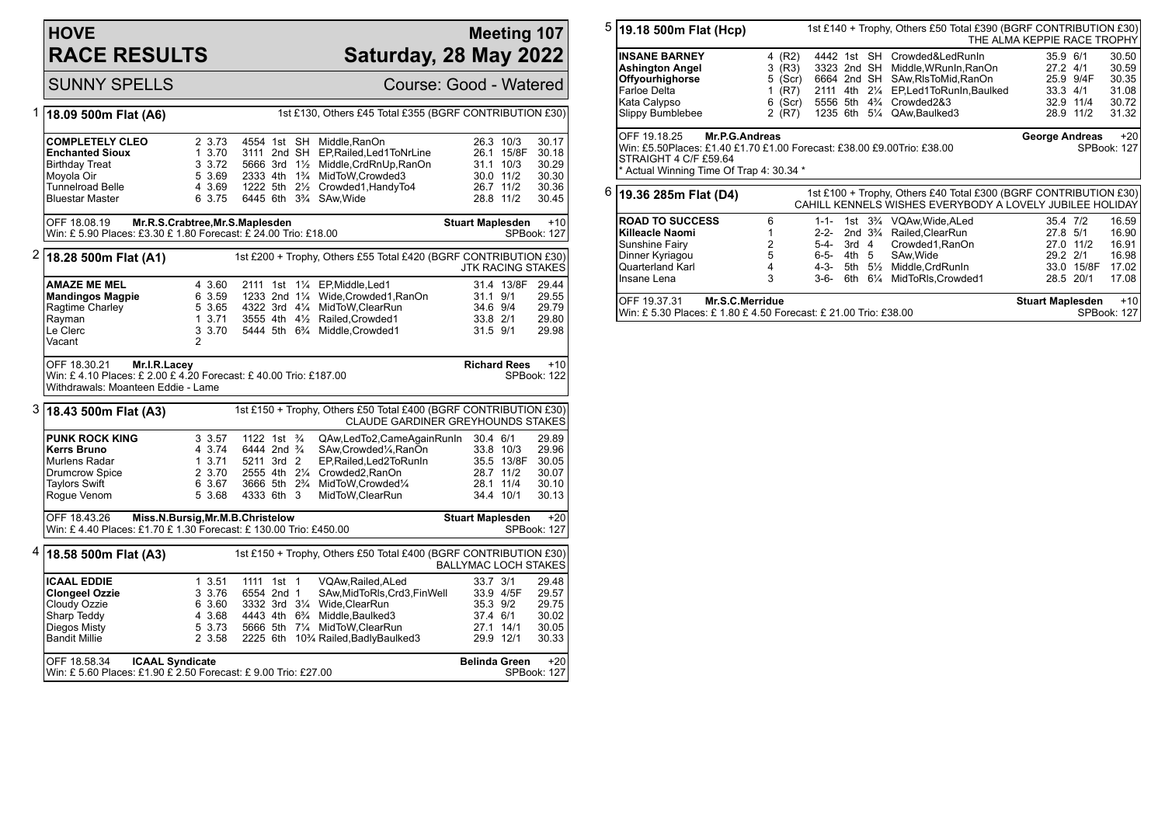## **HOVE RACE RESULTS**

## **Meeting 107 Saturday, 28 May 2022**

SUNNY SPELLS Course: Good - Watered

| 1 | 1st £130, Others £45 Total £355 (BGRF CONTRIBUTION £30)<br>18.09 500m Flat (A6)                                                              |                                                                 |                                                                                                                                                       |                                                                                                                                                                                                                          |                                                                         |                                                                                            |  |
|---|----------------------------------------------------------------------------------------------------------------------------------------------|-----------------------------------------------------------------|-------------------------------------------------------------------------------------------------------------------------------------------------------|--------------------------------------------------------------------------------------------------------------------------------------------------------------------------------------------------------------------------|-------------------------------------------------------------------------|--------------------------------------------------------------------------------------------|--|
|   | <b>COMPLETELY CLEO</b><br><b>Enchanted Sioux</b><br><b>Birthday Treat</b><br>Moyola Oir<br><b>Tunnelroad Belle</b><br><b>Bluestar Master</b> | 2 3.73<br>1 3.70<br>3 3.72<br>5 3.69<br>4 3.69<br>6 3.75        | 4554 1st SH Middle.RanOn<br>6445 6th 3 <sup>3</sup> / <sub>4</sub> SAw, Wide                                                                          | 3111 2nd SH EP, Railed, Led 1 To Nr Line<br>5666 3rd 11/2 Middle, CrdRnUp, RanOn<br>2333 4th 1 <sup>3</sup> / <sub>4</sub> MidToW, Crowded 3<br>1222 5th 21/ <sub>2</sub> Crowded1, Handy To4                            | 30.0 11/2<br>26.7 11/2<br>28.8 11/2                                     | 26.3 10/3<br>30.17<br>26.1 15/8F<br>30.18<br>30.29<br>31.1 10/3<br>30.30<br>30.36<br>30.45 |  |
|   | OFF 18.08.19<br>Win: £ 5.90 Places: £3.30 £ 1.80 Forecast: £ 24.00 Trio: £18.00                                                              |                                                                 | Mr.R.S.Crabtree, Mr.S.Maplesden                                                                                                                       |                                                                                                                                                                                                                          | <b>Stuart Maplesden</b>                                                 | $+10$<br>SPBook: 127                                                                       |  |
| 2 | 18.28 500m Flat (A1)                                                                                                                         |                                                                 |                                                                                                                                                       | 1st £200 + Trophy, Others £55 Total £420 (BGRF CONTRIBUTION £30)                                                                                                                                                         |                                                                         | <b>JTK RACING STAKES</b>                                                                   |  |
|   | <b>AMAZE ME MEL</b><br><b>Mandingos Magpie</b><br>Ragtime Charley<br>Rayman<br>Le Clerc<br>Vacant                                            | 4 3.60<br>6 3.59<br>5 3.65<br>13.71<br>3 3.70<br>$\overline{2}$ |                                                                                                                                                       | 2111 1st 11/ <sub>4</sub> EP, Middle, Led 1<br>1233 2nd 11/4 Wide, Crowded 1, RanOn<br>4322 3rd 41/4 MidToW.ClearRun<br>3555 4th 41/2 Railed, Crowded1<br>5444 5th 6 <sup>3</sup> / <sub>4</sub> Middle, Crowded1        | 31.1 9/1<br>34.6 9/4<br>33.8 2/1<br>31.5 9/1                            | 31.4 13/8F<br>29.44<br>29.55<br>29.79<br>29.80<br>29.98                                    |  |
|   | OFF 18.30.21<br>Mr.I.R.Lacey<br>Win: £4.10 Places: £2.00 £4.20 Forecast: £40.00 Trio: £187.00<br>Withdrawals: Moanteen Eddie - Lame          |                                                                 |                                                                                                                                                       |                                                                                                                                                                                                                          | <b>Richard Rees</b>                                                     | $+10$<br>SPBook: 122                                                                       |  |
| 3 | 18.43 500m Flat (A3)                                                                                                                         |                                                                 |                                                                                                                                                       | 1st £150 + Trophy, Others £50 Total £400 (BGRF CONTRIBUTION £30)<br>CLAUDE GARDINER GREYHOUNDS STAKES                                                                                                                    |                                                                         |                                                                                            |  |
|   | <b>PUNK ROCK KING</b><br>Kerrs Bruno<br>Murlens Radar<br><b>Drumcrow Spice</b><br><b>Taylors Swift</b><br>Rogue Venom                        | 3 3.57<br>4 3.74<br>1, 3.71<br>2 3.70<br>6 3.67<br>5 3.68       | 1122 1st $\frac{3}{4}$<br>6444 2nd <sup>3</sup> / <sub>4</sub><br>5211 3rd 2<br>2555 4th 21/4<br>3666 5th 2 <sup>3</sup> / <sub>4</sub><br>4333 6th 3 | QAw, Led To 2, Came Again Run In 30.4 6/1<br>SAw, Crowded <sup>1</sup> / <sub>4</sub> , RanOn<br>EP, Railed, Led 2To Run In<br>Crowded2, RanOn<br>MidToW,Crowded1/4<br>MidToW, ClearRun                                  | 33.8 10/3<br>28.7 11/2<br>28.1 11/4<br>34.4 10/1                        | 29.89<br>29.96<br>35.5 13/8F<br>30.05<br>30.07<br>30.10<br>30.13                           |  |
|   | OFF 18.43.26<br>Win: £4.40 Places: £1.70 £1.30 Forecast: £130.00 Trio: £450.00                                                               |                                                                 | Miss.N.Bursig, Mr.M.B.Christelow                                                                                                                      |                                                                                                                                                                                                                          | <b>Stuart Maplesden</b>                                                 | $+20$<br>SPBook: 127                                                                       |  |
| 4 | 18.58 500m Flat (A3)                                                                                                                         |                                                                 |                                                                                                                                                       | 1st £150 + Trophy, Others £50 Total £400 (BGRF CONTRIBUTION £30)                                                                                                                                                         |                                                                         | <b>BALLYMAC LOCH STAKES</b>                                                                |  |
|   | <b>ICAAL EDDIE</b><br><b>Clongeel Ozzie</b><br>Cloudy Ozzie<br>Sharp Teddy<br>Diegos Misty<br><b>Bandit Millie</b>                           | 1 3.51<br>3 3.76<br>6 3.60<br>4 3.68<br>5 3.73<br>2 3.58        | 1111 1st 1<br>6554 2nd 1                                                                                                                              | VQAw, Railed, ALed<br>SAw, MidToRIs, Crd3, FinWell<br>3332 3rd 31/4 Wide, ClearRun<br>4443 4th 6 <sup>3</sup> / <sub>4</sub> Middle, Baulked 3<br>5666 5th 71/4 MidToW, ClearRun<br>2225 6th 10% Railed, Badly Baulked 3 | 33.7 3/1<br>33.9 4/5F<br>35.3 9/2<br>37.4 6/1<br>27.1 14/1<br>29.9 12/1 | 29.48<br>29.57<br>29.75<br>30.02<br>30.05<br>30.33                                         |  |
|   | <b>ICAAL Syndicate</b><br>OFF 18.58.34<br>Win: £ 5.60 Places: £1.90 £ 2.50 Forecast: £ 9.00 Trio: £27.00                                     |                                                                 |                                                                                                                                                       |                                                                                                                                                                                                                          | <b>Belinda Green</b>                                                    | $+20$<br><b>SPBook: 127</b>                                                                |  |

| $5 $ 19.18 500m Flat (Hcp)                                                                                                   |                   |                                                      |  |  |  | 1st £140 + Trophy, Others £50 Total £390 (BGRF CONTRIBUTION £30)<br>THE ALMA KEPPIE RACE TROPHY                                                                                                                              |  |  |                                                                           |                                                    |  |
|------------------------------------------------------------------------------------------------------------------------------|-------------------|------------------------------------------------------|--|--|--|------------------------------------------------------------------------------------------------------------------------------------------------------------------------------------------------------------------------------|--|--|---------------------------------------------------------------------------|----------------------------------------------------|--|
| <b>INSANE BARNEY</b><br><b>Ashington Angel</b><br><b>Offyourhighorse</b><br>Farloe Delta<br>Kata Calypso<br>Slippy Bumblebee | 4<br>3<br>1.<br>6 | (R2)<br>(R3)<br>$5$ (Scr)<br>(R7)<br>(Scr)<br>2 (R7) |  |  |  | 4442 1st SH Crowded&LedRunIn<br>3323 2nd SH Middle.WRunln.RanOn<br>6664 2nd SH SAw.RIsToMid.RanOn<br>2111 4th 21/4 EP.Led1ToRunIn.Baulked<br>5556 5th 4 <sup>3</sup> / <sub>4</sub> Crowded2&3<br>1235 6th 51/4 QAw.Baulked3 |  |  | 35.9 6/1<br>$27.2$ 4/1<br>25.9 9/4F<br>33.3 4/1<br>32.9 11/4<br>28.9 11/2 | 30.50<br>30.59<br>30.35<br>31.08<br>30.72<br>31.32 |  |
| IOFF 19.18.25<br>Mr.P.G.Andreas<br>STRAIGHT 4 C/F £59.64<br>* Actual Winning Time Of Trap 4: 30.34 *                         |                   |                                                      |  |  |  |                                                                                                                                                                                                                              |  |  | <b>George Andreas</b>                                                     | $+20$<br>SPBook: 127                               |  |
| $6 $ 19.36 285m Flat (D4)                                                                                                    |                   |                                                      |  |  |  | 1st £100 + Trophy, Others £40 Total £300 (BGRF CONTRIBUTION £30)<br>CAHILL KENNELS WISHES EVERYBODY A LOVELY JUBILEE HOLIDAY                                                                                                 |  |  |                                                                           |                                                    |  |

|                                                                   | <u>UAHILL NENNELS WISHES EVERTBUDT A LUVELT JUBILEE HULIDAT</u> |      |             |                                                        |           |            |       |
|-------------------------------------------------------------------|-----------------------------------------------------------------|------|-------------|--------------------------------------------------------|-----------|------------|-------|
| <b>ROAD TO SUCCESS</b>                                            | 6                                                               |      |             | 1-1- 1st 3 <sup>3</sup> / <sub>4</sub> VQAw.Wide.ALed  | 35.4 7/2  |            | 16.59 |
| <b>Killeacle Naomi</b>                                            |                                                                 |      |             | 2-2- 2nd 3 <sup>3</sup> / <sub>4</sub> Railed.ClearRun | 27.8 5/1  |            | 16.90 |
| Sunshine Fairy                                                    | 2                                                               |      |             | 5-4- 3rd 4 Crowded1, RanOn                             | 27.0 11/2 |            | 16.91 |
| Dinner Kyriagou                                                   | 5                                                               |      |             | 6-5- 4th 5 SAw. Wide                                   | 29.2 2/1  |            | 16.98 |
| <b>IQuarterland Karl</b>                                          | 4                                                               |      |             | 4-3- 5th 51/2 Middle, CrdRunIn                         |           | 33.0 15/8F | 17.02 |
| Ilnsane Lena                                                      | 3                                                               | 3-6- |             | 6th 61/4 MidToRIs.Crowded1                             | 28.5 20/1 |            | 17.08 |
| IOFF 19.37.31<br>Mr.S.C.Merridue                                  | <b>Stuart Maplesden</b>                                         |      | $+10$       |                                                        |           |            |       |
| IWin: £ 5.30 Places: £ 1.80 £ 4.50 Forecast: £ 21.00 Trio: £38.00 |                                                                 |      | SPBook: 127 |                                                        |           |            |       |